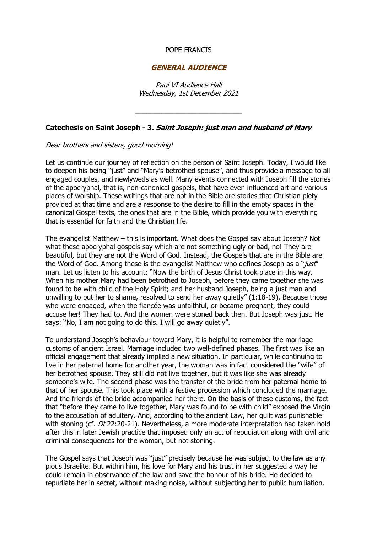## POPE FRANCIS

## **GENERAL AUDIENCE**

Paul VI Audience Hall Wednesday, 1st December 2021

\_\_\_\_\_\_\_\_\_\_\_\_\_\_\_\_\_\_\_\_\_\_\_\_\_\_\_\_

## **Catechesis on Saint Joseph - 3. Saint Joseph: just man and husband of Mary**

## Dear brothers and sisters, good morning!

Let us continue our journey of reflection on the person of Saint Joseph. Today, I would like to deepen his being "just" and "Mary's betrothed spouse", and thus provide a message to all engaged couples, and newlyweds as well. Many events connected with Joseph fill the stories of the apocryphal, that is, non-canonical gospels, that have even influenced art and various places of worship. These writings that are not in the Bible are stories that Christian piety provided at that time and are a response to the desire to fill in the empty spaces in the canonical Gospel texts, the ones that are in the Bible, which provide you with everything that is essential for faith and the Christian life.

The evangelist Matthew – this is important. What does the Gospel say about Joseph? Not what these apocryphal gospels say which are not something ugly or bad, no! They are beautiful, but they are not the Word of God. Instead, the Gospels that are in the Bible are the Word of God. Among these is the evangelist Matthew who defines Joseph as a "just" man. Let us listen to his account: "Now the birth of Jesus Christ took place in this way. When his mother Mary had been betrothed to Joseph, before they came together she was found to be with child of the Holy Spirit; and her husband Joseph, being a just man and unwilling to put her to shame, resolved to send her away quietly" (1:18-19). Because those who were engaged, when the fiancée was unfaithful, or became pregnant, they could accuse her! They had to. And the women were stoned back then. But Joseph was just. He says: "No, I am not going to do this. I will go away quietly".

To understand Joseph's behaviour toward Mary, it is helpful to remember the marriage customs of ancient Israel. Marriage included two well-defined phases. The first was like an official engagement that already implied a new situation. In particular, while continuing to live in her paternal home for another year, the woman was in fact considered the "wife" of her betrothed spouse. They still did not live together, but it was like she was already someone's wife. The second phase was the transfer of the bride from her paternal home to that of her spouse. This took place with a festive procession which concluded the marriage. And the friends of the bride accompanied her there. On the basis of these customs, the fact that "before they came to live together, Mary was found to be with child" exposed the Virgin to the accusation of adultery. And, according to the ancient Law, her guilt was punishable with stoning (cf. Dt 22:20-21). Nevertheless, a more moderate interpretation had taken hold after this in later Jewish practice that imposed only an act of repudiation along with civil and criminal consequences for the woman, but not stoning.

The Gospel says that Joseph was "just" precisely because he was subject to the law as any pious Israelite. But within him, his love for Mary and his trust in her suggested a way he could remain in observance of the law and save the honour of his bride. He decided to repudiate her in secret, without making noise, without subjecting her to public humiliation.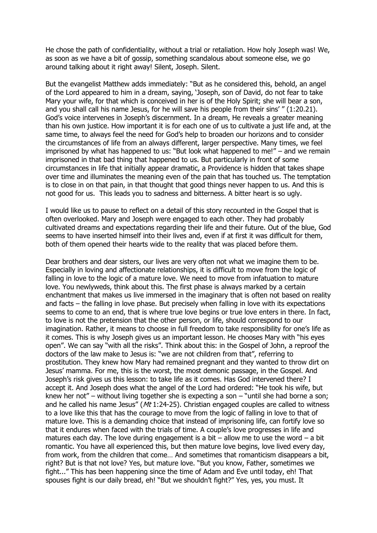He chose the path of confidentiality, without a trial or retaliation. How holy Joseph was! We, as soon as we have a bit of gossip, something scandalous about someone else, we go around talking about it right away! Silent, Joseph. Silent.

But the evangelist Matthew adds immediately: "But as he considered this, behold, an angel of the Lord appeared to him in a dream, saying, 'Joseph, son of David, do not fear to take Mary your wife, for that which is conceived in her is of the Holy Spirit; she will bear a son, and you shall call his name Jesus, for he will save his people from their sins' " (1:20.21). God's voice intervenes in Joseph's discernment. In a dream, He reveals a greater meaning than his own justice. How important it is for each one of us to cultivate a just life and, at the same time, to always feel the need for God's help to broaden our horizons and to consider the circumstances of life from an always different, larger perspective. Many times, we feel imprisoned by what has happened to us: "But look what happened to me!" – and we remain imprisoned in that bad thing that happened to us. But particularly in front of some circumstances in life that initially appear dramatic, a Providence is hidden that takes shape over time and illuminates the meaning even of the pain that has touched us. The temptation is to close in on that pain, in that thought that good things never happen to us. And this is not good for us. This leads you to sadness and bitterness. A bitter heart is so ugly.

I would like us to pause to reflect on a detail of this story recounted in the Gospel that is often overlooked. Mary and Joseph were engaged to each other. They had probably cultivated dreams and expectations regarding their life and their future. Out of the blue, God seems to have inserted himself into their lives and, even if at first it was difficult for them, both of them opened their hearts wide to the reality that was placed before them.

Dear brothers and dear sisters, our lives are very often not what we imagine them to be. Especially in loving and affectionate relationships, it is difficult to move from the logic of falling in love to the logic of a mature love. We need to move from infatuation to mature love. You newlyweds, think about this. The first phase is always marked by a certain enchantment that makes us live immersed in the imaginary that is often not based on reality and facts – the falling in love phase. But precisely when falling in love with its expectations seems to come to an end, that is where true love begins or true love enters in there. In fact, to love is not the pretension that the other person, or life, should correspond to our imagination. Rather, it means to choose in full freedom to take responsibility for one's life as it comes. This is why Joseph gives us an important lesson. He chooses Mary with "his eyes open". We can say "with all the risks". Think about this: in the Gospel of John, a reproof the doctors of the law make to Jesus is: "we are not children from that", referring to prostitution. They knew how Mary had remained pregnant and they wanted to throw dirt on Jesus' mamma. For me, this is the worst, the most demonic passage, in the Gospel. And Joseph's risk gives us this lesson: to take life as it comes. Has God intervened there? I accept it. And Joseph does what the angel of the Lord had ordered: "He took his wife, but knew her not" – without living together she is expecting a son – "until she had borne a son; and he called his name Jesus" ( $Mt$  1:24-25). Christian engaged couples are called to witness to a love like this that has the courage to move from the logic of falling in love to that of mature love. This is a demanding choice that instead of imprisoning life, can fortify love so that it endures when faced with the trials of time. A couple's love progresses in life and matures each day. The love during engagement is a bit  $-$  allow me to use the word  $-$  a bit romantic. You have all experienced this, but then mature love begins, love lived every day, from work, from the children that come… And sometimes that romanticism disappears a bit, right? But is that not love? Yes, but mature love. "But you know, Father, sometimes we fight..." This has been happening since the time of Adam and Eve until today, eh! That spouses fight is our daily bread, eh! "But we shouldn't fight?" Yes, yes, you must. It